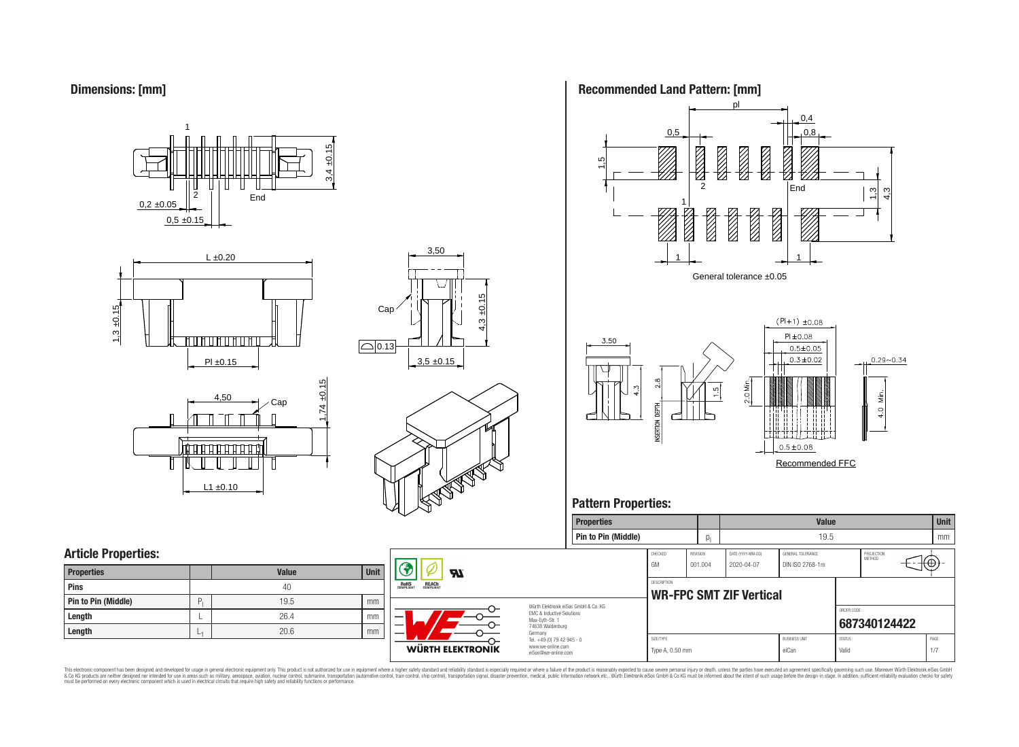**Dimensions: [mm]**







3,50







### **Pattern Properties:**



This electronic component has been designed and developed for usage in general electronic equipment only. This product is not authorized for use in equipment where a higher safely standard and reliability standard si espec & Ook product a label and the membed of the seasuch as marked and as which such a membed and the such assume that income in the seasuch and the simulation and the such assume that include to the such a membed and the such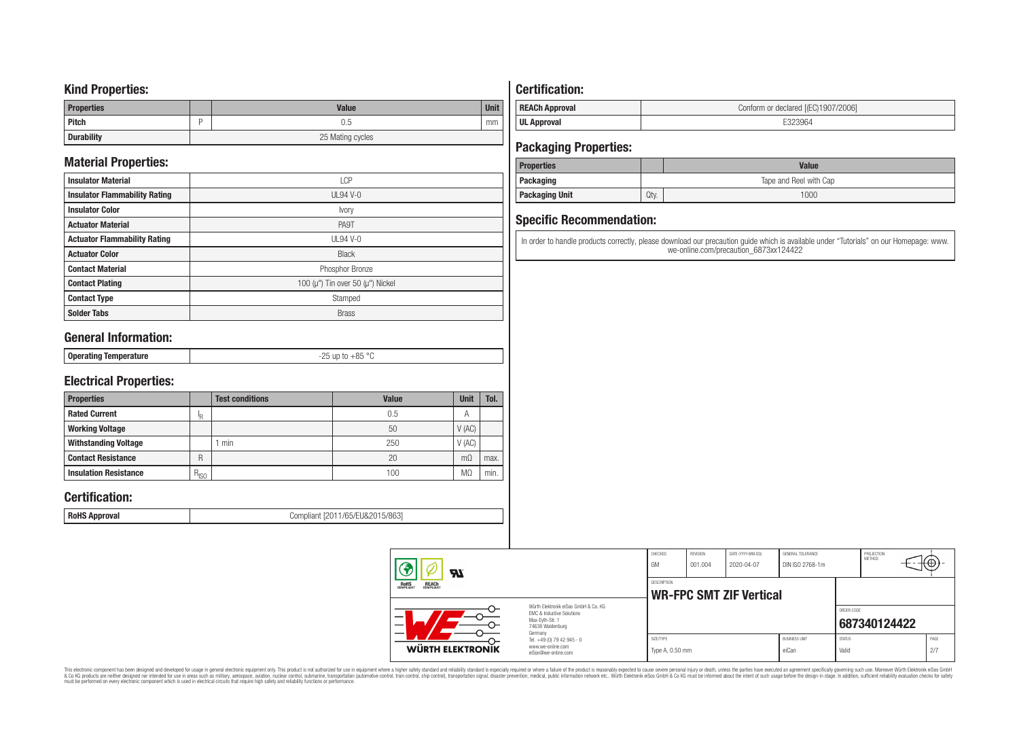### **Kind Properties:**

| <b>Properties</b> | <b>Value</b>     | <b>Unit</b> |  |  |
|-------------------|------------------|-------------|--|--|
| <b>Pitch</b>      | 0.5              | mm          |  |  |
| <b>Durability</b> | 25 Mating cycles |             |  |  |

### **Material Properties:**

| <b>Insulator Material</b>            | <b>LCP</b>                                   |
|--------------------------------------|----------------------------------------------|
| <b>Insulator Flammability Rating</b> | $UL94V-0$                                    |
| <b>Insulator Color</b>               | Ivory                                        |
| <b>Actuator Material</b>             | PA9T                                         |
| <b>Actuator Flammability Rating</b>  | <b>UL94 V-0</b>                              |
| <b>Actuator Color</b>                | <b>Black</b>                                 |
| <b>Contact Material</b>              | Phosphor Bronze                              |
| <b>Contact Plating</b>               | 100 ( $\mu$ ") Tin over 50 ( $\mu$ ") Nickel |
| <b>Contact Type</b>                  | Stamped                                      |
| <b>Solder Tabs</b>                   | <b>Brass</b>                                 |

### **General Information:**

| Onerating<br>  oporuunig<br>$-$ - $-$ - $-$ | $\circ$<br>0E.<br>ח ר<br>$ -$<br>. |
|---------------------------------------------|------------------------------------|

### **Electrical Properties:**

| <b>Properties</b>            |           | <b>Test conditions</b> | <b>Value</b> | Unit           | Tol. |
|------------------------------|-----------|------------------------|--------------|----------------|------|
| <b>Rated Current</b>         | םו        |                        | 0.5          | $\overline{A}$ |      |
| <b>Working Voltage</b>       |           |                        | 50           | V(AC)          |      |
| <b>Withstanding Voltage</b>  |           | min                    | 250          | V(AC)          |      |
| <b>Contact Resistance</b>    | R         |                        | 20           | $m\Omega$      | max. |
| <b>Insulation Resistance</b> | $R_{ISO}$ |                        | 100          | M <sub>2</sub> | min. |

### **Certification:**

**RoHS Approval RoHS Approval Compliant** [2011/65/EU&2015/863]

## **Certification:**

| <b>REACh Approval</b> | Conform or declared [(EC)1907/2006] |
|-----------------------|-------------------------------------|
| <b>UL Approval</b>    |                                     |

### **Packaging Properties:**

| <b>Properties</b>     |      | Value                  |
|-----------------------|------|------------------------|
| <b>Packaging</b>      |      | Tape and Reel with Cap |
| <b>Packaging Unit</b> | Qty. | 1000                   |

### **Specific Recommendation:**

In order to handle products correctly, please download our precaution guide which is available under "Tutorials" on our Homepage: www. we-online.com/precaution\_6873xx124422

| WÜRTH ELEKTRONIK                                      | www.we-online.com<br>eiSos@we-online.com                                                                 | Type A, 0.50 mm                                      |                     |                                 | eiCan                                | Valid         |                      | 2/7  |
|-------------------------------------------------------|----------------------------------------------------------------------------------------------------------|------------------------------------------------------|---------------------|---------------------------------|--------------------------------------|---------------|----------------------|------|
|                                                       | Germany<br>Tel. +49 (0) 79 42 945 - 0                                                                    | SIZE/TYPE                                            |                     |                                 | <b>BUSINESS UNIT</b>                 | <b>STATUS</b> |                      | PAGE |
|                                                       | Würth Elektronik eiSos GmbH & Co. KG<br>EMC & Inductive Solutions<br>Max-Evth-Str. 1<br>74638 Waldenburg |                                                      |                     |                                 |                                      | ORDER CODE    | 687340124422         |      |
| <b>REACH</b><br>COMPLIANT<br><b>ROHS</b><br>COMPLIANT |                                                                                                          | <b>DESCRIPTION</b><br><b>WR-FPC SMT ZIF Vertical</b> |                     |                                 |                                      |               |                      |      |
| Яī                                                    |                                                                                                          | CHECKED<br>GM                                        | REVISION<br>001.004 | DATE (YYYY-MM-DD)<br>2020-04-07 | GENERAL TOLERANCE<br>DIN ISO 2768-1m |               | PROJECTION<br>METHOD | Κ⊕   |

This electronic component has been designed and developed for usage in general electronic equipment only. This product is not authorized for subserved requipment where a higher selection equipment where a higher selection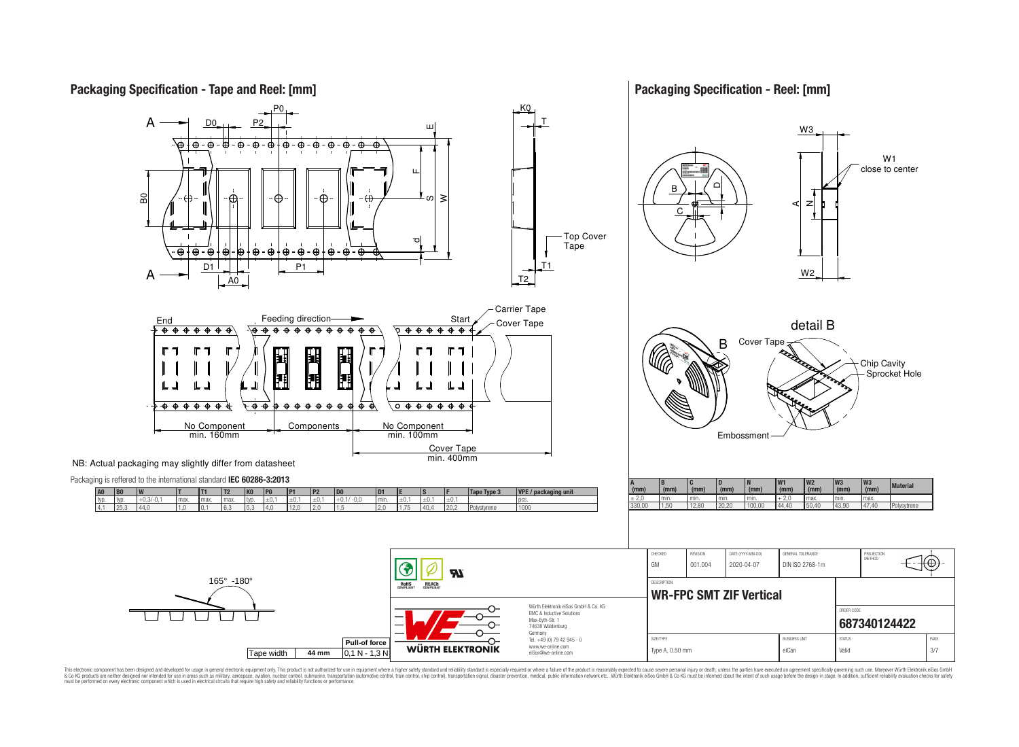

Germany Tel. +49 (0) 79 42 945 - 0 **Pull-of force** SIZE/TYPE BUSINESS UNIT STATUS PAGE www.we-online.com **WÜRTH ELEKTRONIK** Type A, 0.50 mm eiCan value of the Can valid valid 3/7 Tape width **44 mm** 0,1 N - 1,3 N eiSos@we-online.com

This electronic component has been designed and developed for usage in general electronic equipment only. This product is not authorized for use in equipment where a higher safely standard and reliability standard si espec & Ook product a label and the membed of the seasuch as marked and as which such a membed and the such assume that income in the seasuch and the simulation and the such assume that include to the such a membed and the such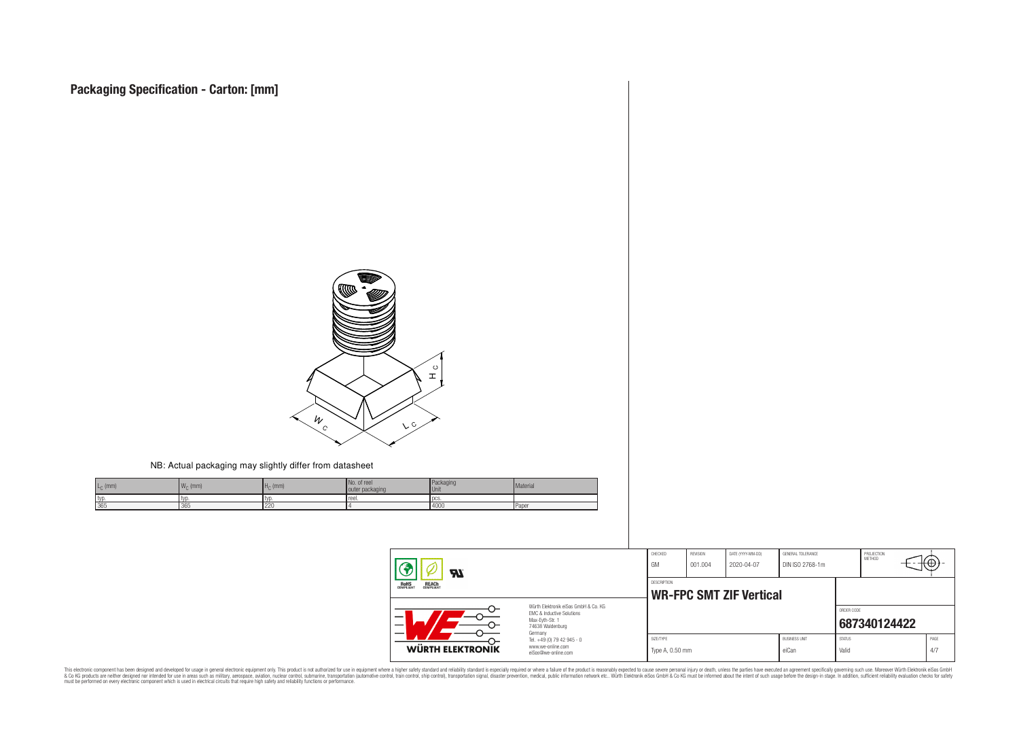

#### NB: Actual packaging may slightly differ from datasheet

| $L_{\rm C}$ (mm) | $\overline{M}$<br>$W_{\cap}$ (mm) | $Hc$ (mm) | No. of reel<br>outer packaging | Packaging<br><b>Unit</b> | Material |
|------------------|-----------------------------------|-----------|--------------------------------|--------------------------|----------|
| I typ.           | I lyd                             | I IVL     | Treel.                         | l DCS                    |          |
| 365              | 365                               | 220       |                                | 4000                     | l Paper  |

| <b>R</b><br><b>ROHS</b><br>COMPLIANT<br><b>REACH</b><br>COMPLIANT |                                                                                                          | CHECKED<br>GM                                 | REVISION<br>001.004 | DATE (YYYY-MM-DD)<br>2020-04-07 | GENERAL TOLERANCE<br>DIN ISO 2768-1m |                        | PROJECTION<br>METHOD | ιΨ          |
|-------------------------------------------------------------------|----------------------------------------------------------------------------------------------------------|-----------------------------------------------|---------------------|---------------------------------|--------------------------------------|------------------------|----------------------|-------------|
|                                                                   |                                                                                                          | DESCRIPTION<br><b>WR-FPC SMT ZIF Vertical</b> |                     |                                 |                                      |                        |                      |             |
| —                                                                 | Würth Elektronik eiSos GmbH & Co. KG<br>EMC & Inductive Solutions<br>Max-Eyth-Str. 1<br>74638 Waldenburg |                                               |                     |                                 |                                      | ORDER CODE             | 687340124422         |             |
| WÜRTH ELEKTRONIK                                                  | Germany<br>Tel. +49 (0) 79 42 945 - 0<br>www.we-online.com<br>eiSos@we-online.com                        | SIZE/TYPE<br>Type A, 0.50 mm                  |                     |                                 | <b>BUSINESS UNIT</b><br>eiCan        | <b>STATUS</b><br>Valid |                      | PAGE<br>4/7 |

This electronic component has been designed and developed for usage in general electronic equipment only. This product is not authorized for subserved requipment where a higher selection equipment where a higher selection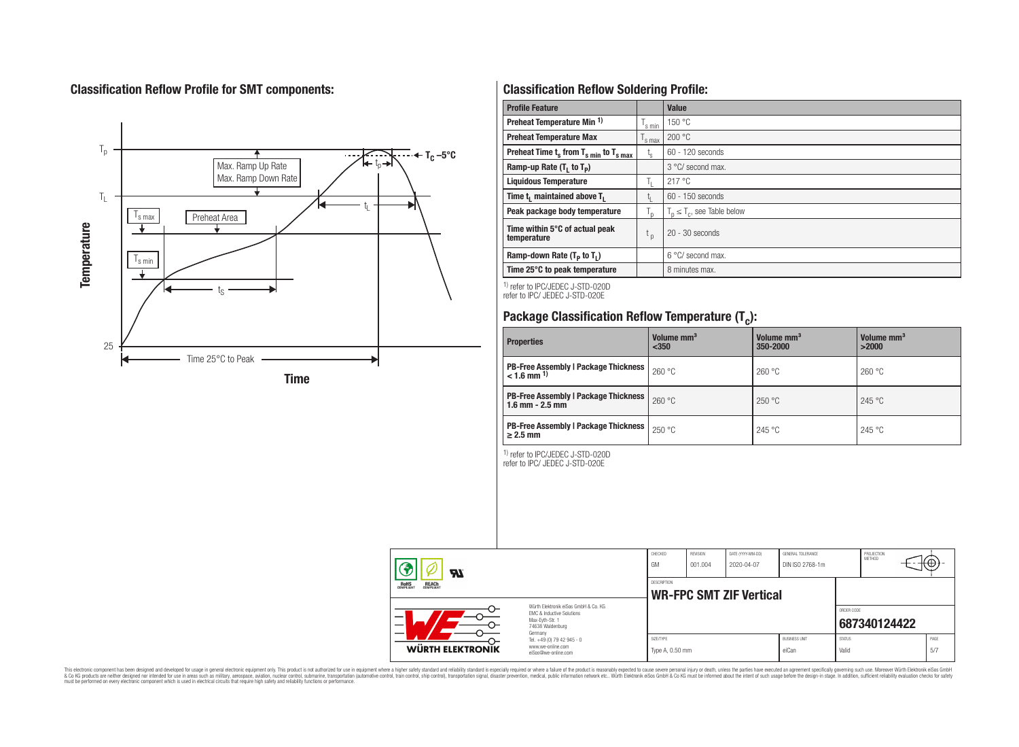### **Classification Reflow Profile for SMT components:**



### **Classification Reflow Soldering Profile:**

| <b>Profile Feature</b>                              |                    | Value                            |
|-----------------------------------------------------|--------------------|----------------------------------|
| Preheat Temperature Min <sup>1)</sup>               | <sup>I</sup> s min | 150 °C                           |
| <b>Preheat Temperature Max</b>                      |                    | 200 °C                           |
| Preheat Time $t_s$ from $T_{s,min}$ to $T_{s,max}$  | $t_{\rm s}$        | $60 - 120$ seconds               |
| Ramp-up Rate $(T_1$ to $T_p$ )                      |                    | 3 °C/ second max.                |
| <b>Liquidous Temperature</b>                        | Ь.                 | 217°C                            |
| Time t <sub>1</sub> maintained above T <sub>1</sub> | ь.                 | $60 - 150$ seconds               |
| Peak package body temperature                       | l n                | $T_n \leq T_c$ , see Table below |
| Time within 5°C of actual peak<br>temperature       | t <sub>p</sub>     | $20 - 30$ seconds                |
| Ramp-down Rate $(T_p$ to $T_1$ )                    |                    | $6^{\circ}$ C/ second max.       |
| Time 25°C to peak temperature                       |                    | 8 minutes max.                   |

1) refer to IPC/JEDEC J-STD-020D refer to IPC/ JEDEC J-STD-020E

# **Package Classification Reflow Temperature (T<sup>c</sup> ):**

| <b>Properties</b>                                                       | Volume mm <sup>3</sup><br>$350$ | Volume mm <sup>3</sup><br>350-2000 | Volume mm <sup>3</sup><br>>2000 |
|-------------------------------------------------------------------------|---------------------------------|------------------------------------|---------------------------------|
| <b>PB-Free Assembly   Package Thickness</b><br>$< 1.6$ mm <sup>1)</sup> | 260 °C                          | 260 °C                             | 260 °C                          |
| <b>PB-Free Assembly   Package Thickness</b><br>$1.6$ mm $- 2.5$ mm      | 260 °C                          | 250 °C                             | 245 °C                          |
| <b>PB-Free Assembly   Package Thickness  </b><br>$\geq$ 2.5 mm          | 250 °C                          | 245 °C                             | 245 °C                          |

1) refer to IPC/JEDEC J-STD-020D

refer to IPC/ JEDEC J-STD-020E

| $\boldsymbol{\mathcal{H}}$               |                                                                                                          | CHECKED<br>GM                                 | <b>REVISION</b><br>001.004 | DATE (YYYY-MM-DD)<br>2020-04-07 | GENERAL TOLERANCE<br>DIN ISO 2768-1m |                        | PROJECTION<br>METHOD | ₩Ψ |             |
|------------------------------------------|----------------------------------------------------------------------------------------------------------|-----------------------------------------------|----------------------------|---------------------------------|--------------------------------------|------------------------|----------------------|----|-------------|
| <b>ROHS</b><br><b>REACH</b><br>COMPLIANT |                                                                                                          | DESCRIPTION<br><b>WR-FPC SMT ZIF Vertical</b> |                            |                                 |                                      |                        |                      |    |             |
| _<br>—                                   | Würth Flektronik eiSos GmbH & Co. KG<br>EMC & Inductive Solutions<br>Max-Evth-Str. 1<br>74638 Waldenburg |                                               |                            |                                 |                                      | ORDER CODE             | 687340124422         |    |             |
| <b>WÜRTH ELEKTRONIK</b>                  | Germany<br>Tel. +49 (0) 79 42 945 - 0<br>www.we-online.com<br>eiSos@we-online.com                        |                                               | Type A, 0.50 mm            |                                 | <b>BUSINESS UNIT</b><br>eiCan        | <b>STATUS</b><br>Valid |                      |    | PAGE<br>5/7 |

This electronic component has been designed and developed for usage in general electronic equipment only. This product is not authorized for subserved requipment where a higher selection equipment where a higher selection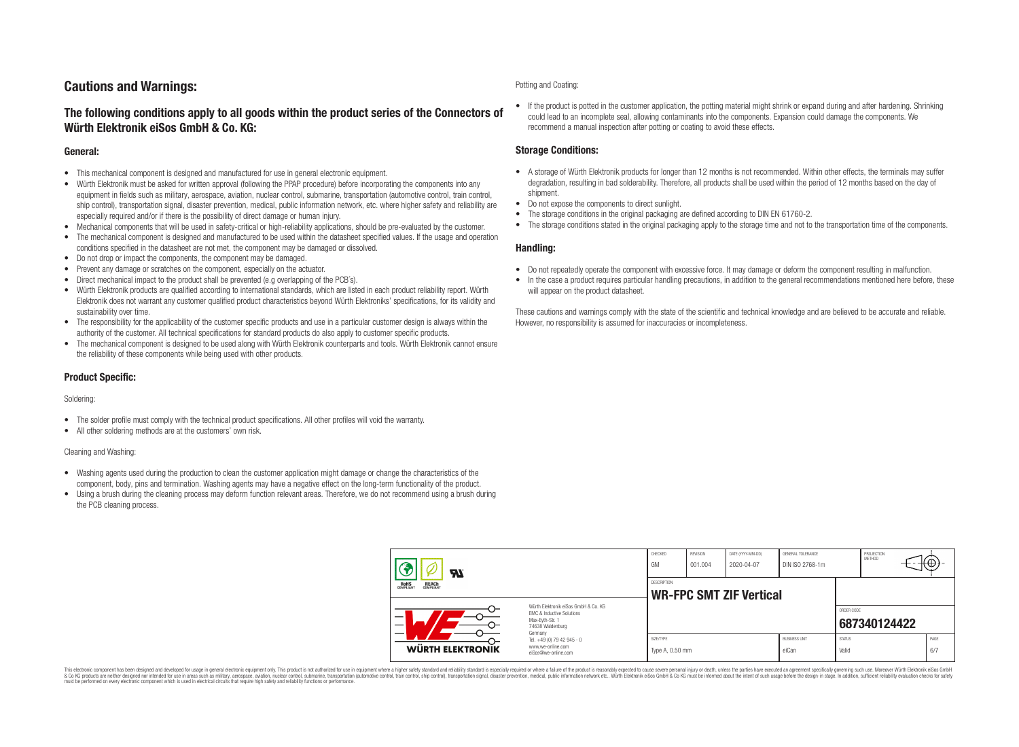### **Cautions and Warnings:**

### **The following conditions apply to all goods within the product series of the Connectors of Würth Elektronik eiSos GmbH & Co. KG:**

#### **General:**

- This mechanical component is designed and manufactured for use in general electronic equipment.
- Würth Elektronik must be asked for written approval (following the PPAP procedure) before incorporating the components into any equipment in fields such as military, aerospace, aviation, nuclear control, submarine, transportation (automotive control, train control, ship control), transportation signal, disaster prevention, medical, public information network, etc. where higher safety and reliability are especially required and/or if there is the possibility of direct damage or human injury.
- Mechanical components that will be used in safety-critical or high-reliability applications, should be pre-evaluated by the customer.
- The mechanical component is designed and manufactured to be used within the datasheet specified values. If the usage and operation conditions specified in the datasheet are not met, the component may be damaged or dissolved.
- Do not drop or impact the components, the component may be damaged.
- Prevent any damage or scratches on the component, especially on the actuator.
- Direct mechanical impact to the product shall be prevented (e.g overlapping of the PCB's).
- Würth Elektronik products are qualified according to international standards, which are listed in each product reliability report. Würth Elektronik does not warrant any customer qualified product characteristics beyond Würth Elektroniks' specifications, for its validity and sustainability over time.
- The responsibility for the applicability of the customer specific products and use in a particular customer design is always within the authority of the customer. All technical specifications for standard products do also apply to customer specific products.
- The mechanical component is designed to be used along with Würth Elektronik counterparts and tools. Würth Elektronik cannot ensure the reliability of these components while being used with other products.

#### **Product Specific:**

#### Soldering:

- The solder profile must comply with the technical product specifications. All other profiles will void the warranty.
- All other soldering methods are at the customers' own risk.

#### Cleaning and Washing:

- Washing agents used during the production to clean the customer application might damage or change the characteristics of the component, body, pins and termination. Washing agents may have a negative effect on the long-term functionality of the product.
- Using a brush during the cleaning process may deform function relevant areas. Therefore, we do not recommend using a brush during the PCB cleaning process.

#### Potting and Coating:

• If the product is potted in the customer application, the potting material might shrink or expand during and after hardening. Shrinking could lead to an incomplete seal, allowing contaminants into the components. Expansion could damage the components. We recommend a manual inspection after potting or coating to avoid these effects.

#### **Storage Conditions:**

- A storage of Würth Elektronik products for longer than 12 months is not recommended. Within other effects, the terminals may suffer degradation, resulting in bad solderability. Therefore, all products shall be used within the period of 12 months based on the day of shipment.
- Do not expose the components to direct sunlight.
- The storage conditions in the original packaging are defined according to DIN EN 61760-2.
- The storage conditions stated in the original packaging apply to the storage time and not to the transportation time of the components.

#### **Handling:**

- Do not repeatedly operate the component with excessive force. It may damage or deform the component resulting in malfunction.
- In the case a product requires particular handling precautions, in addition to the general recommendations mentioned here before, these will appear on the product datasheet.

These cautions and warnings comply with the state of the scientific and technical knowledge and are believed to be accurate and reliable. However, no responsibility is assumed for inaccuracies or incompleteness.

| Hī                                                                                                                                                                         |                                                                        | CHECKED<br>GM                                        | <b>REVISION</b><br>001.004 | DATE (YYYY-MM-DD)<br>2020-04-07 | GENERAL TOLERANCE<br>DIN ISO 2768-1m |                            | PROJECTION<br><b>METHOD</b> |  | ₩           |
|----------------------------------------------------------------------------------------------------------------------------------------------------------------------------|------------------------------------------------------------------------|------------------------------------------------------|----------------------------|---------------------------------|--------------------------------------|----------------------------|-----------------------------|--|-------------|
| ROHS<br>COMPLIANT<br><b>REACH</b><br>COMPLIANT<br>Würth Flektronik eiSos GmbH & Co. KG<br>FMC & Inductive Solutions<br>–<br>Max-Eyth-Str. 1<br>74638 Waldenburg<br>Germany |                                                                        | <b>DESCRIPTION</b><br><b>WR-FPC SMT ZIF Vertical</b> |                            |                                 |                                      |                            |                             |  |             |
|                                                                                                                                                                            |                                                                        |                                                      |                            |                                 |                                      | ORDER CODE<br>687340124422 |                             |  |             |
| WÜRTH ELEKTRONIK                                                                                                                                                           | Tel. +49 (0) 79 42 945 - 0<br>www.we-online.com<br>eiSos@we-online.com | SIZE/TYPE<br>Type A, 0.50 mm                         |                            |                                 | <b>BUSINESS UNIT</b><br>eiCan        | <b>STATUS</b><br>Valid     |                             |  | PAGE<br>6/7 |

This electronic component has been designed and developed for usage in general electronic equipment only. This product is not authorized for use in equipment where a higher safety standard and reliability standard si espec & Ook product a label and the membed of the seasuch as marked and as which such a membed and the such assume that income in the seasuch and the simulation and the such assume that include to the such a membed and the such